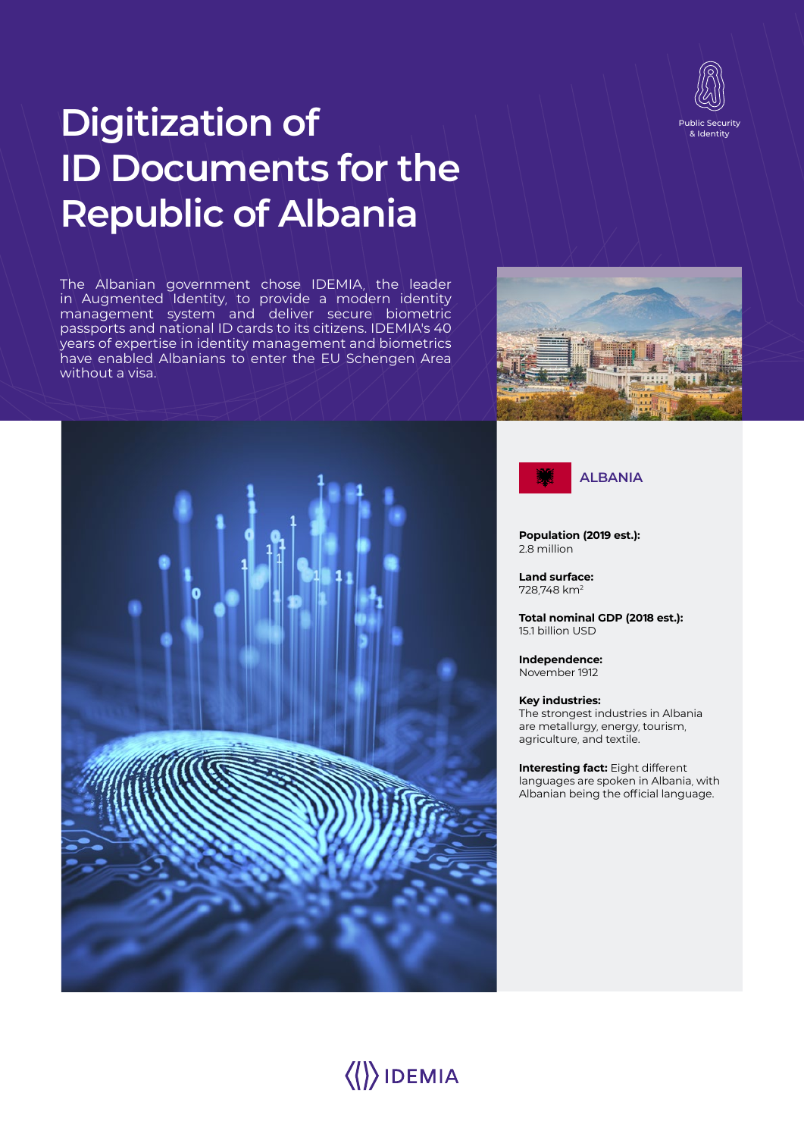

# **Digitization of ID Documents for the Republic of Albania**

The Albanian government chose IDEMIA, the leader in Augmented Identity, to provide a modern identity management system and deliver secure biometric passports and national ID cards to its citizens. IDEMIA's 40 years of expertise in identity management and biometrics have enabled Albanians to enter the EU Schengen Area without a visa.







**Population (2019 est.):**  2.8 million

**Land surface:**  728,748 km2

**Total nominal GDP (2018 est.):**  15.1 billion USD

**Independence:**  November 1912

**Key industries:**  The strongest industries in Albania are metallurgy, energy, tourism,

agriculture, and textile. **Interesting fact:** Eight different

languages are spoken in Albania, with Albanian being the official language.

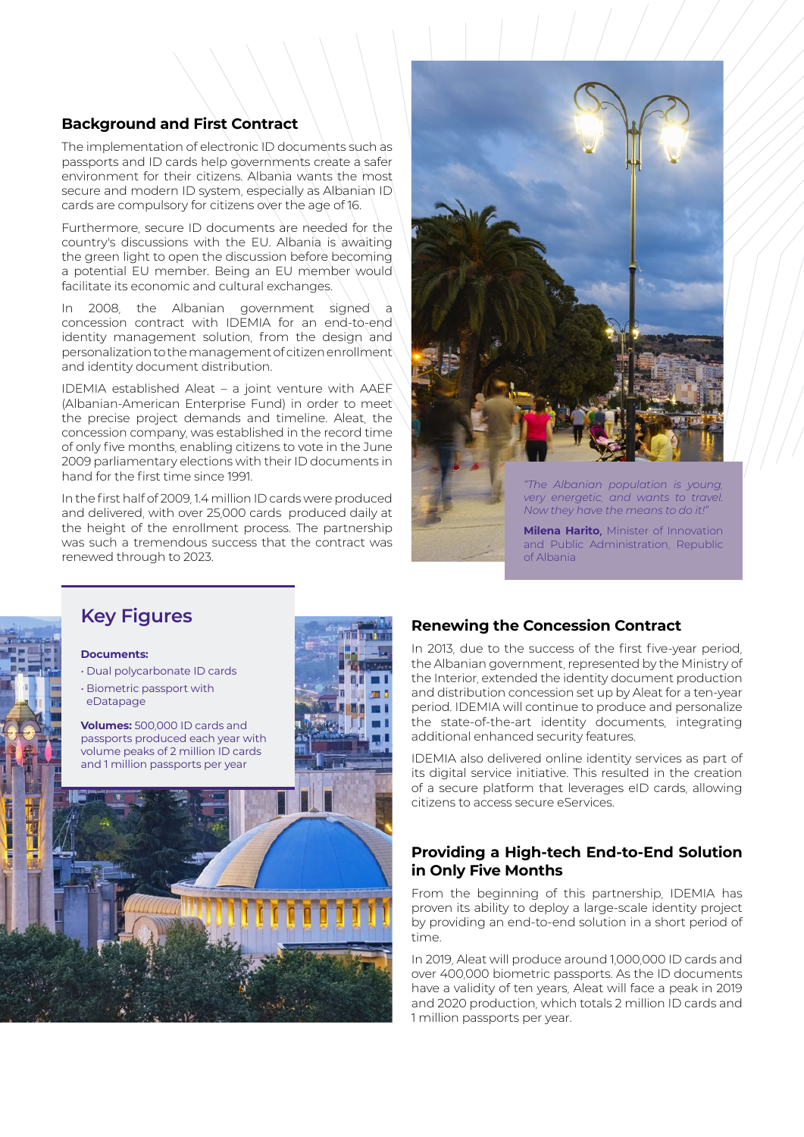## **Background and First Contract**

The implementation of electronic ID documents such as passports and ID cards help governments create a safer environment for their citizens. Albania wants the most secure and modern ID system, especially as Albanian ID cards are compulsory for citizens over the age of 16.

Furthermore, secure ID documents are needed for the country's discussions with the EU. Albania is awaiting the green light to open the discussion before becoming a potential EU member. Being an EU member would facilitate its economic and cultural exchanges.

In 2008, the Albanian government signed a concession contract with IDEMIA for an end-to-end identity management solution, from the design and personalization to the management of citizen enrollment and identity document distribution.

IDEMIA established Aleat – a joint venture with AAEF (Albanian-American Enterprise Fund) in order to meet the precise project demands and timeline. Aleat, the concession company, was established in the record time of only five months, enabling citizens to vote in the June 2009 parliamentary elections with their ID documents in hand for the first time since 1991.

In the first half of 2009, 1.4 million ID cards were produced and delivered, with over 25,000 cards produced daily at the height of the enrollment process. The partnership was such a tremendous success that the contract was renewed through to 2023.



*"The Albanian population is young, very energetic, and wants to travel. Now they have the means to do it!"* 

**Milena Harito,** Minister of Innovation and Public Administration, Republic of Albania

# **Key Figures**

#### **Documents:**

- Dual polycarbonate ID cards
- Biometric passport with eDatapage

**Volumes:** 500,000 ID cards and passports produced each year with volume peaks of 2 million ID cards and 1 million passports per year



# **Renewing the Concession Contract**

In 2013, due to the success of the first five-year period, the Albanian government, represented by the Ministry of the Interior, extended the identity document production and distribution concession set up by Aleat for a ten-year period. IDEMIA will continue to produce and personalize the state-of-the-art identity documents, integrating additional enhanced security features.

IDEMIA also delivered online identity services as part of its digital service initiative. This resulted in the creation of a secure platform that leverages eID cards, allowing citizens to access secure eServices.

## **Providing a High-tech End-to-End Solution in Only Five Months**

From the beginning of this partnership, IDEMIA has proven its ability to deploy a large-scale identity project by providing an end-to-end solution in a short period of time.

In 2019, Aleat will produce around 1,000,000 ID cards and over 400,000 biometric passports. As the ID documents have a validity of ten years, Aleat will face a peak in 2019 and 2020 production, which totals 2 million ID cards and 1 million passports per year.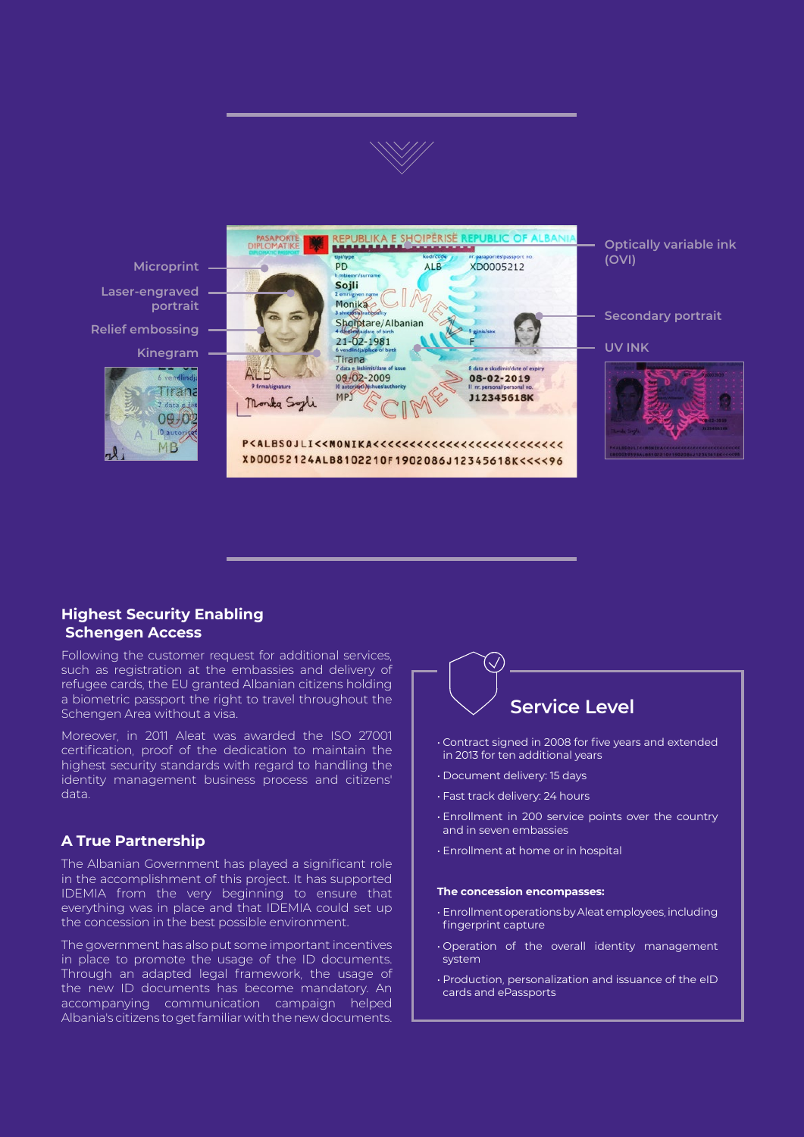

**Relief embossing Laser-engraved portrait Microprint Kinegram**





**Optically variable ink (OVI)**

#### **Secondary portrait**

**UV INK**



# **Highest Security Enabling Schengen Access**

Following the customer request for additional services, such as registration at the embassies and delivery of refugee cards, the EU granted Albanian citizens holding a biometric passport the right to travel throughout the Schengen Area without a visa.

Moreover, in 2011 Aleat was awarded the ISO 27001 certification, proof of the dedication to maintain the highest security standards with regard to handling the identity management business process and citizens' data.

# **A True Partnership**

The Albanian Government has played a significant role in the accomplishment of this project. It has supported IDEMIA from the very beginning to ensure that everything was in place and that IDEMIA could set up the concession in the best possible environment.

The government has also put some important incentives in place to promote the usage of the ID documents. Through an adapted legal framework, the usage of the new ID documents has become mandatory. An accompanying communication campaign helped Albania's citizens to get familiar with the new documents.



- Contract signed in 2008 for five years and extended in 2013 for ten additional years
- Document delivery: 15 days
- Fast track delivery: 24 hours
- Enrollment in 200 service points over the country and in seven embassies
- Enrollment at home or in hospital

#### **The concession encompasses:**

- Enrollment operations by Aleat employees, including fingerprint capture
- Operation of the overall identity management system
- Production, personalization and issuance of the eID cards and ePassports